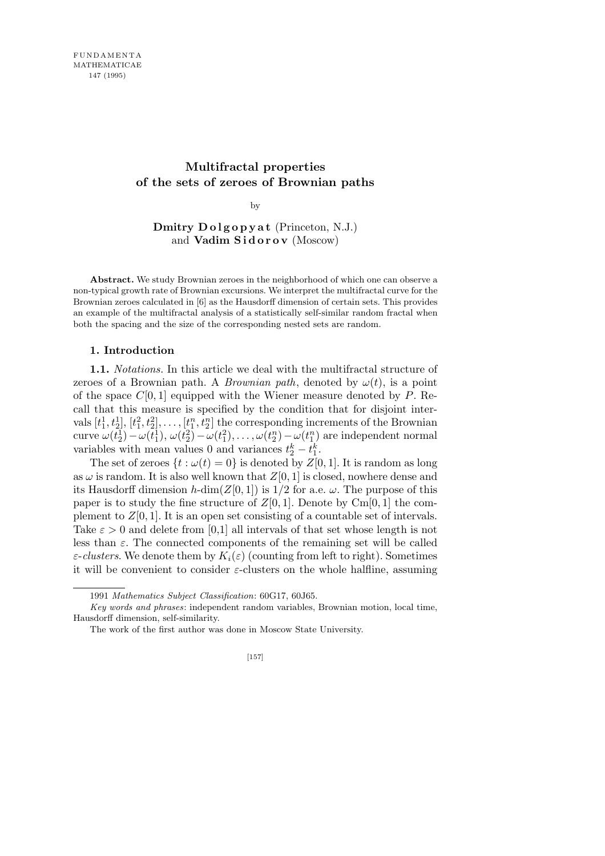# **Multifractal properties of the sets of zeroes of Brownian paths**

by

**Dmitry Dolgopyat** (Princeton, N.J.) and **Vadim Sidorov** (Moscow)

**Abstract.** We study Brownian zeroes in the neighborhood of which one can observe a non-typical growth rate of Brownian excursions. We interpret the multifractal curve for the Brownian zeroes calculated in [6] as the Hausdorff dimension of certain sets. This provides an example of the multifractal analysis of a statistically self-similar random fractal when both the spacing and the size of the corresponding nested sets are random.

#### **1. Introduction**

**1.1.** *Notations.* In this article we deal with the multifractal structure of zeroes of a Brownian path. A *Brownian path*, denoted by  $\omega(t)$ , is a point of the space *C*[0*,* 1] equipped with the Wiener measure denoted by *P*. Recall that this measure is specified by the condition that for disjoint intervals  $[t_1^1, t_2^1], [t_1^2, t_2^2], \ldots, [t_1^n, t_2^n]$  the corresponding increments of the Brownian  $\omega(t_2^1) - \omega(t_1^1), \, \omega(t_2^2) - \omega(t_1^2), \ldots, \omega(t_2^n) - \omega(t_1^n)$  are independent normal variables with mean values 0 and variances  $t_2^k - t_1^k$ .

The set of zeroes  $\{t : \omega(t) = 0\}$  is denoted by  $Z[0, 1]$ . It is random as long as  $\omega$  is random. It is also well known that  $Z[0, 1]$  is closed, nowhere dense and its Hausdorff dimension  $h$ -dim $(Z[0,1])$  is  $1/2$  for a.e.  $\omega$ . The purpose of this paper is to study the fine structure of  $Z[0,1]$ . Denote by Cm[0, 1] the complement to  $Z[0,1]$ . It is an open set consisting of a countable set of intervals. Take  $\varepsilon > 0$  and delete from [0,1] all intervals of that set whose length is not less than  $\varepsilon$ . The connected components of the remaining set will be called *ε*-*clusters*. We denote them by  $K_i(\varepsilon)$  (counting from left to right). Sometimes it will be convenient to consider *ε*-clusters on the whole halfline, assuming

<sup>1991</sup> *Mathematics Subject Classification*: 60G17, 60J65.

*Key words and phrases*: independent random variables, Brownian motion, local time, Hausdorff dimension, self-similarity.

The work of the first author was done in Moscow State University.

<sup>[157]</sup>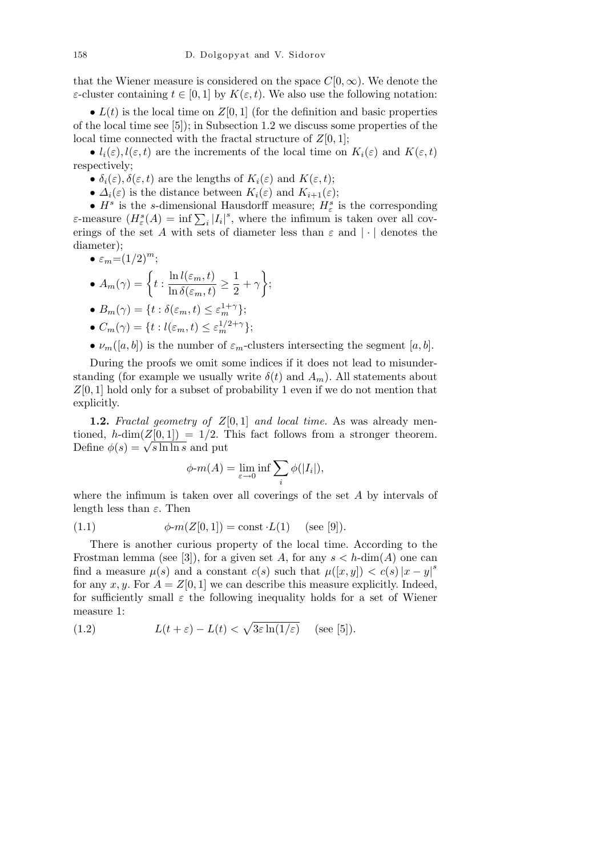that the Wiener measure is considered on the space  $C[0,\infty)$ . We denote the *ε*-cluster containing  $t \in [0, 1]$  by  $K(\varepsilon, t)$ . We also use the following notation:

•  $L(t)$  is the local time on  $Z[0,1]$  (for the definition and basic properties of the local time see [5]); in Subsection 1.2 we discuss some properties of the local time connected with the fractal structure of  $Z[0, 1]$ ;

•  $l_i(\varepsilon)$ ,  $l(\varepsilon, t)$  are the increments of the local time on  $K_i(\varepsilon)$  and  $K(\varepsilon, t)$ respectively;

•  $\delta_i(\varepsilon)$ ,  $\delta(\varepsilon,t)$  are the lengths of  $K_i(\varepsilon)$  and  $K(\varepsilon,t)$ ;

•  $\Delta_i(\varepsilon)$  is the distance between  $K_i(\varepsilon)$  and  $K_{i+1}(\varepsilon)$ ;

*• H<sup>s</sup>* is the *s*-dimensional Hausdorff measure; *H<sup>s</sup> ε* is the corresponding *ε*—measure ( $H^s_{\varepsilon}(A) = \inf \sum_i |I_i|^s$ , where the infimum is taken over all coverings of the set *A* with sets of diameter less than *ε* and *| · |* denotes the diameter);

$$
\bullet \varepsilon_m = (1/2)^m;
$$

 $\bullet$   $A_m(\gamma) = \begin{cases} t : \frac{\ln l(\varepsilon_m, t)}{\ln \frac{S(\varepsilon_m, t)}{s}} \end{cases}$  $\frac{\ln l(\varepsilon_m,t)}{\ln \delta(\varepsilon_m,t)} \geq \frac{1}{2}$  $\frac{1}{2} + \gamma$  $\ddot{\phantom{0}}$ ;

• 
$$
B_m(\gamma) = \{t : \delta(\varepsilon_m, t) \le \varepsilon_m^{1+\gamma}\};
$$

- $C_m(\gamma) = \{t : l(\varepsilon_m, t) \leq \varepsilon_m^{1/2 + \gamma}\};$
- $\nu_m([a, b])$  is the number of  $\varepsilon_m$ -clusters intersecting the segment  $[a, b]$ .

During the proofs we omit some indices if it does not lead to misunderstanding (for example we usually write  $\delta(t)$  and  $A_m$ ). All statements about *Z*[0*,* 1] hold only for a subset of probability 1 even if we do not mention that explicitly.

**1.2.** *Fractal geometry of Z*[0*,* 1] *and local time.* As was already mentioned, *h*-dim( $Z[0,1]$ ) = 1/2. This fact follows from a stronger theorem.  $\text{Define } \phi(s) = \sqrt{s \ln \ln s} \text{ and put}$ 

$$
\phi \text{-} m(A) = \lim_{\varepsilon \to 0} \inf \sum_{i} \phi(|I_i|),
$$

where the infimum is taken over all coverings of the set *A* by intervals of length less than *ε*. Then

(1.1) 
$$
\phi \text{-}m(Z[0,1]) = \text{const} \cdot L(1) \text{ (see [9]).}
$$

There is another curious property of the local time. According to the Frostman lemma (see [3]), for a given set A, for any  $s < h$ -dim(A) one can find a measure  $\mu(s)$  and a constant  $c(s)$  such that  $\mu([x,y]) < c(s) |x-y|^s$ for any  $x, y$ . For  $A = Z[0, 1]$  we can describe this measure explicitly. Indeed, for sufficiently small  $\varepsilon$  the following inequality holds for a set of Wiener measure 1: p

(1.2) 
$$
L(t+\varepsilon) - L(t) < \sqrt{3\varepsilon} \ln(1/\varepsilon) \quad \text{(see [5])}.
$$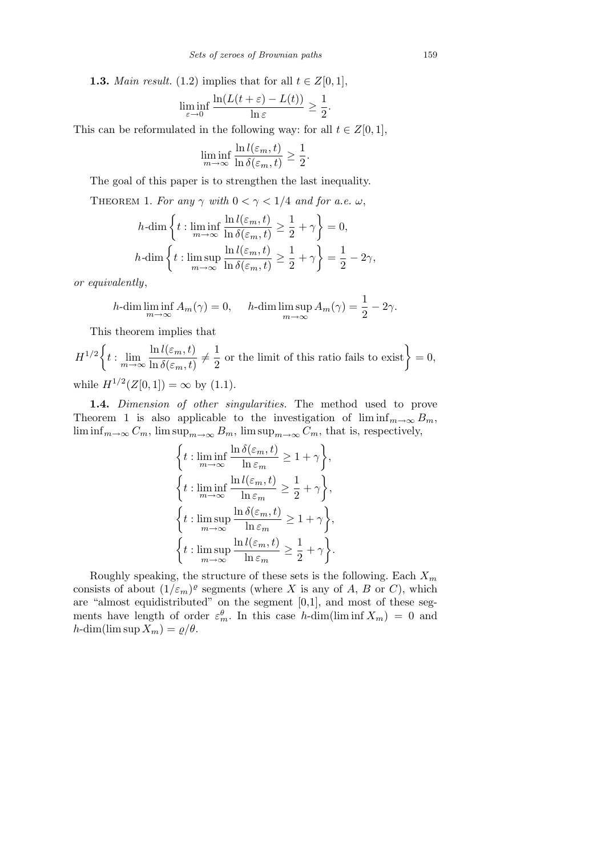**1.3.** *Main result.* (1.2) implies that for all  $t \in Z[0,1]$ ,

$$
\liminf_{\varepsilon \to 0} \frac{\ln(L(t+\varepsilon) - L(t))}{\ln \varepsilon} \ge \frac{1}{2}.
$$

This can be reformulated in the following way: for all  $t \in Z[0,1]$ ,

$$
\liminf_{m \to \infty} \frac{\ln l(\varepsilon_m, t)}{\ln \delta(\varepsilon_m, t)} \ge \frac{1}{2}.
$$

The goal of this paper is to strengthen the last inequality.

THEOREM 1. For any  $\gamma$  with  $0 < \gamma < 1/4$  and for a.e.  $\omega$ ,

$$
h\text{-dim}\left\{t: \liminf_{m\to\infty}\frac{\ln l(\varepsilon_m,t)}{\ln \delta(\varepsilon_m,t)}\geq \frac{1}{2}+\gamma\right\}=0,
$$
  

$$
h\text{-dim}\left\{t: \limsup_{m\to\infty}\frac{\ln l(\varepsilon_m,t)}{\ln \delta(\varepsilon_m,t)}\geq \frac{1}{2}+\gamma\right\}=\frac{1}{2}-2\gamma,
$$

*or equivalently*,

$$
h\text{-dim}\liminf_{m\to\infty} A_m(\gamma) = 0, \quad h\text{-dim}\limsup_{m\to\infty} A_m(\gamma) = \frac{1}{2} - 2\gamma.
$$

This theorem implies that

*H*<sup>1</sup>*/*<sup>2</sup>  $\overline{a}$  $t: \lim_{m\to\infty} \frac{\ln l(\varepsilon_m,t)}{\ln \delta(\varepsilon_m,t)}$  $\frac{\ln l(\varepsilon_m,t)}{\ln \delta(\varepsilon_m,t)}\neq \frac{1}{2}$  $\frac{1}{2}$  or the limit of this ratio fails to exist  $= 0$ , while  $H^{1/2}(Z[0,1]) = \infty$  by (1.1).

**1.4.** *Dimension of other singularities.* The method used to prove Theorem 1 is also applicable to the investigation of  $\liminf_{m\to\infty} B_m$ ,  $\liminf_{m\to\infty} C_m$ ,  $\limsup_{m\to\infty} B_m$ ,  $\limsup_{m\to\infty} C_m$ , that is, respectively,

$$
\left\{ t : \liminf_{m \to \infty} \frac{\ln \delta(\varepsilon_m, t)}{\ln \varepsilon_m} \ge 1 + \gamma \right\},\
$$
  

$$
\left\{ t : \liminf_{m \to \infty} \frac{\ln l(\varepsilon_m, t)}{\ln \varepsilon_m} \ge \frac{1}{2} + \gamma \right\},\
$$
  

$$
\left\{ t : \limsup_{m \to \infty} \frac{\ln \delta(\varepsilon_m, t)}{\ln \varepsilon_m} \ge 1 + \gamma \right\},\
$$
  

$$
\left\{ t : \limsup_{m \to \infty} \frac{\ln l(\varepsilon_m, t)}{\ln \varepsilon_m} \ge \frac{1}{2} + \gamma \right\}.
$$

Roughly speaking, the structure of these sets is the following. Each *X<sup>m</sup>* consists of about  $(1/\varepsilon_m)^{\varrho}$  segments (where *X* is any of *A*, *B* or *C*), which are "almost equidistributed" on the segment [0,1], and most of these segments have length of order  $\varepsilon_m^{\theta}$ . In this case *h*-dim(lim inf  $X_m$ ) = 0 and  $h$ -dim(lim sup  $X_m$ ) =  $\varrho/\theta$ .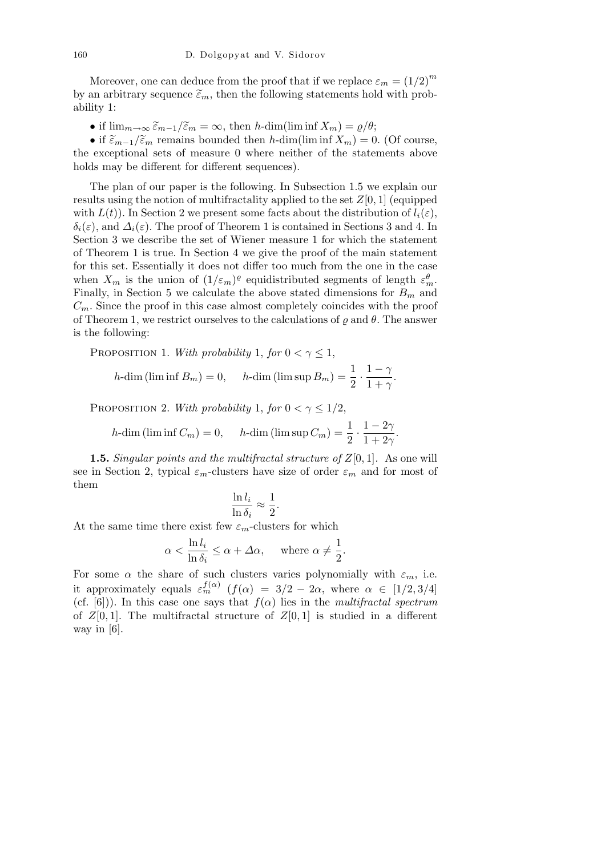Moreover, one can deduce from the proof that if we replace  $\varepsilon_m = (1/2)^m$ by an arbitrary sequence  $\tilde{\epsilon}_m$ , then the following statements hold with probability 1:

• if  $\lim_{m\to\infty} \tilde{\varepsilon}_{m-1}/\tilde{\varepsilon}_m = \infty$ , then *h*-dim(lim inf  $X_m$ ) =  $\varrho/\theta$ ;

• if  $\widetilde{\varepsilon}_{m-1}/\widetilde{\varepsilon}_m$  remains bounded then *h*-dim(lim inf  $X_m$ ) = 0. (Of course, the exceptional sets of measure 0 where neither of the statements above holds may be different for different sequences).

The plan of our paper is the following. In Subsection 1.5 we explain our results using the notion of multifractality applied to the set *Z*[0*,* 1] (equipped with  $L(t)$ ). In Section 2 we present some facts about the distribution of  $l_i(\varepsilon)$ ,  $\delta_i(\varepsilon)$ , and  $\Delta_i(\varepsilon)$ . The proof of Theorem 1 is contained in Sections 3 and 4. In Section 3 we describe the set of Wiener measure 1 for which the statement of Theorem 1 is true. In Section 4 we give the proof of the main statement for this set. Essentially it does not differ too much from the one in the case when  $X_m$  is the union of  $(1/\varepsilon_m)^{\varrho}$  equidistributed segments of length  $\varepsilon_m^{\theta}$ . Finally, in Section 5 we calculate the above stated dimensions for  $B_m$  and  $C_m$ . Since the proof in this case almost completely coincides with the proof of Theorem 1, we restrict ourselves to the calculations of  $\rho$  and  $\theta$ . The answer is the following:

PROPOSITION 1. *With probability* 1, *for*  $0 < \gamma \leq 1$ , *h*-dim (lim inf  $B_m$ ) = 0, *h*-dim (lim sup  $B_m$ ) =  $\frac{1}{2} \cdot \frac{1-\gamma}{1+\gamma}$  $\frac{1}{1+\gamma}$ .

PROPOSITION 2. *With probability* 1, *for*  $0 < \gamma \leq 1/2$ ,

*h*-dim (lim inf  $C_m$ ) = 0, *h*-dim (lim sup  $C_m$ ) =  $\frac{1}{2} \cdot \frac{1 - 2\gamma}{1 + 2\gamma}$  $\frac{1}{1+2\gamma}$ 

**1.5.** *Singular points and the multifractal structure of Z*[0*,* 1]*.* As one will see in Section 2, typical  $\varepsilon_m$ -clusters have size of order  $\varepsilon_m$  and for most of them

$$
\frac{\ln l_i}{\ln \delta_i} \approx \frac{1}{2}.
$$

At the same time there exist few  $\varepsilon_m$ -clusters for which

$$
\alpha < \frac{\ln l_i}{\ln \delta_i} \le \alpha + \Delta \alpha, \quad \text{where } \alpha \neq \frac{1}{2}.
$$

For some  $\alpha$  the share of such clusters varies polynomially with  $\varepsilon_m$ , i.e. it approximately equals  $\varepsilon_m^{f(\alpha)}$  ( $f(\alpha) = 3/2 - 2\alpha$ , where  $\alpha \in [1/2, 3/4]$ (cf. [6])). In this case one says that  $f(\alpha)$  lies in the *multifractal spectrum* of  $Z[0,1]$ . The multifractal structure of  $Z[0,1]$  is studied in a different way in [6].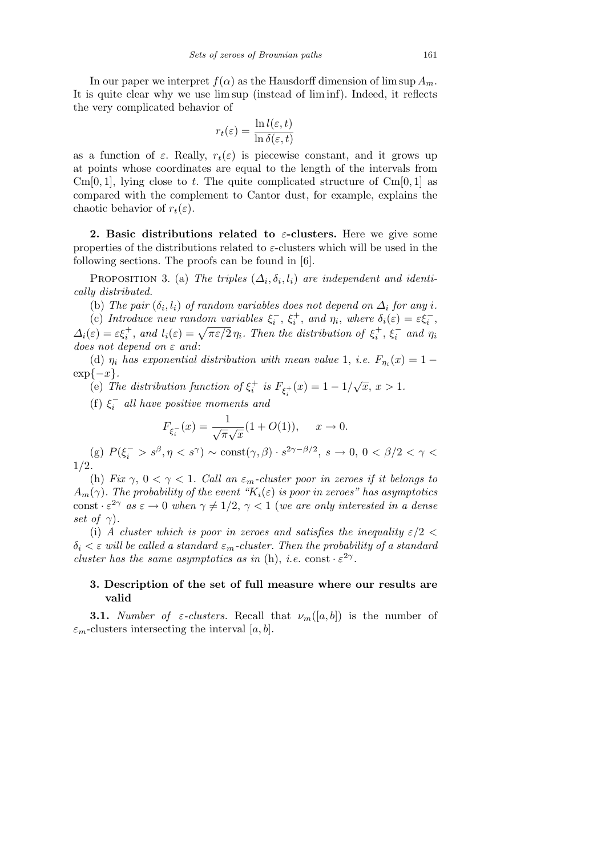In our paper we interpret  $f(\alpha)$  as the Hausdorff dimension of  $\limsup A_m$ . It is quite clear why we use lim sup (instead of lim inf). Indeed, it reflects the very complicated behavior of

$$
r_t(\varepsilon) = \frac{\ln l(\varepsilon, t)}{\ln \delta(\varepsilon, t)}
$$

as a function of  $\varepsilon$ . Really,  $r_t(\varepsilon)$  is piecewise constant, and it grows up at points whose coordinates are equal to the length of the intervals from Cm[0, 1], lying close to t. The quite complicated structure of  $Cm[0, 1]$  as compared with the complement to Cantor dust, for example, explains the chaotic behavior of  $r_t(\varepsilon)$ .

**2. Basic distributions related to** *ε***-clusters.** Here we give some properties of the distributions related to *ε*-clusters which will be used in the following sections. The proofs can be found in [6].

PROPOSITION 3. (a) *The triples*  $(\Delta_i, \delta_i, l_i)$  are independent and identi*cally distributed.*

(b) The pair  $(\delta_i, l_i)$  of random variables does not depend on  $\Delta_i$  for any *i*.

(c) *Introduce new random variables*  $\xi_i^-, \xi_i^+,$  *and*  $\eta_i$ *, where*  $\delta_i(\varepsilon) = \varepsilon \xi_i^-,$ (c) Introduce new random variables  $\zeta_i$ ,  $\zeta_i$ , and  $\eta_i$ , where  $o_i(\varepsilon) = \varepsilon \zeta_i$ ,<br>  $\Delta_i(\varepsilon) = \varepsilon \xi_i^+$ , and  $l_i(\varepsilon) = \sqrt{\pi \varepsilon/2} \eta_i$ . Then the distribution of  $\xi_i^+$ ,  $\xi_i^-$  and  $\eta_i$ *does not depend on ε and*:

(d)  $\eta_i$  has exponential distribution with mean value 1, *i.e.*  $F_{\eta_i}(x) = 1$ exp*{−x}.*

(e) The distribution function of  $\xi_i^+$  is  $F_{\xi_i^+}(x) = 1 - 1/\sqrt{x}$ ,  $x > 1$ .

(f)  $\xi_i^-$  all have positive moments and

$$
F_{\xi_i^-}(x) = \frac{1}{\sqrt{\pi}\sqrt{x}}(1 + O(1)), \quad x \to 0.
$$

(g)  $P(\xi_i^- > s^\beta, \eta < s^\gamma) \sim \text{const}(\gamma, \beta) \cdot s^{2\gamma - \beta/2}, s \to 0, 0 < \beta/2 < \gamma <$ 1*/*2*.*

(h) *Fix*  $\gamma$ ,  $0 < \gamma < 1$ *. Call an*  $\varepsilon_m$ *-cluster poor in zeroes if it belongs to*  $A_m(\gamma)$ *. The probability of the event "K*<sub>*i*</sub>( $\varepsilon$ ) *is poor in zeroes" has asymptotics*  $\text{const} \cdot \varepsilon^{2\gamma}$  *as*  $\varepsilon \to 0$  *when*  $\gamma \neq 1/2$ ,  $\gamma < 1$  (*we are only interested in a dense set of*  $\gamma$ *)*.

(i) *A cluster which is poor in zeroes and satisfies the inequality*  $\varepsilon/2$   $\lt$  $\delta_i < \varepsilon$  *will be called a standard*  $\varepsilon_m$ *-cluster. Then the probability of a standard cluster has the same asymptotics as in* (h), *i.e.* const  $\cdot \varepsilon^{2\gamma}$ .

## **3. Description of the set of full measure where our results are valid**

**3.1.** *Number of*  $\varepsilon$ *-clusters.* Recall that  $\nu_m([a, b])$  is the number of  $\varepsilon_m$ -clusters intersecting the interval [*a, b*].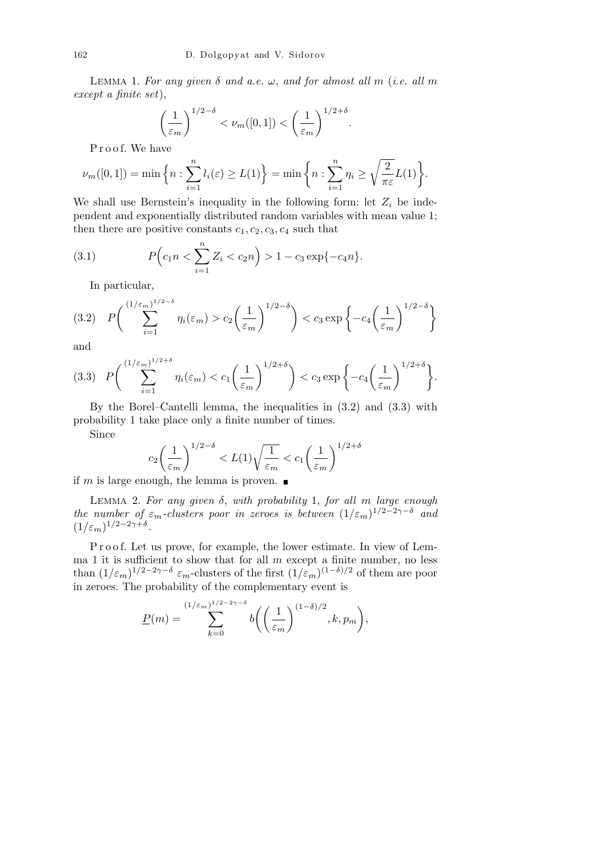LEMMA 1. For any given  $\delta$  and a.e.  $\omega$ , and for almost all m (*i.e. all* m *except a finite set*),

$$
\left(\frac{1}{\varepsilon_m}\right)^{1/2-\delta} < \nu_m([0,1]) < \left(\frac{1}{\varepsilon_m}\right)^{1/2+\delta}
$$

*.*

Proof. We have

$$
\nu_m([0,1]) = \min\left\{n : \sum_{i=1}^n l_i(\varepsilon) \ge L(1)\right\} = \min\left\{n : \sum_{i=1}^n \eta_i \ge \sqrt{\frac{2}{\pi \varepsilon}} L(1)\right\}.
$$

We shall use Bernstein's inequality in the following form: let  $Z_i$  be independent and exponentially distributed random variables with mean value 1; then there are positive constants  $c_1, c_2, c_3, c_4$  such that

(3.1) 
$$
P\Big(c_1 n < \sum_{i=1}^n Z_i < c_2 n\Big) > 1 - c_3 \exp\{-c_4 n\}.
$$

In particular,

$$
(3.2) \quad P\bigg(\sum_{i=1}^{(1/\varepsilon_m)^{1/2-\delta}}\eta_i(\varepsilon_m) > c_2\bigg(\frac{1}{\varepsilon_m}\bigg)^{1/2-\delta}\bigg) < c_3 \exp\bigg\{-c_4\bigg(\frac{1}{\varepsilon_m}\bigg)^{1/2-\delta}\bigg\}
$$

and

$$
(3.3) \quad P\bigg(\sum_{i=1}^{(1/\varepsilon_m)^{1/2+\delta}}\eta_i(\varepsilon_m)< c_1\bigg(\frac{1}{\varepsilon_m}\bigg)^{1/2+\delta}\bigg)< c_3\exp\bigg\{-c_4\bigg(\frac{1}{\varepsilon_m}\bigg)^{1/2+\delta}\bigg\}.
$$

By the Borel–Cantelli lemma, the inequalities in (3.2) and (3.3) with probability 1 take place only a finite number of times.

Since

$$
c_2 \left(\frac{1}{\varepsilon_m}\right)^{1/2-\delta} < L(1) \sqrt{\frac{1}{\varepsilon_m}} < c_1 \left(\frac{1}{\varepsilon_m}\right)^{1/2+\delta}
$$

if *m* is large enough, the lemma is proven.  $\blacksquare$ 

Lemma 2. *For any given δ*, *with probability* 1, *for all m large enough the number of*  $\varepsilon_m$ -*clusters poor in zeroes is between*  $(1/\varepsilon_m)^{1/2-2\gamma-\delta}$  and  $(1/\varepsilon_m)^{1/2-2\gamma+\delta}.$ 

P r o o f. Let us prove, for example, the lower estimate. In view of Lemma 1 it is sufficient to show that for all *m* except a finite number, no less than  $(1/\varepsilon_m)^{1/2-2\gamma-\delta}$   $\varepsilon_m$ -clusters of the first  $(1/\varepsilon_m)^{(1-\delta)/2}$  of them are poor in zeroes. The probability of the complementary event is

$$
\underline{P}(m) = \sum_{k=0}^{(1/\varepsilon_m)^{1/2-2\gamma-\delta}} b\bigg(\bigg(\frac{1}{\varepsilon_m}\bigg)^{(1-\delta)/2}, k, p_m\bigg),
$$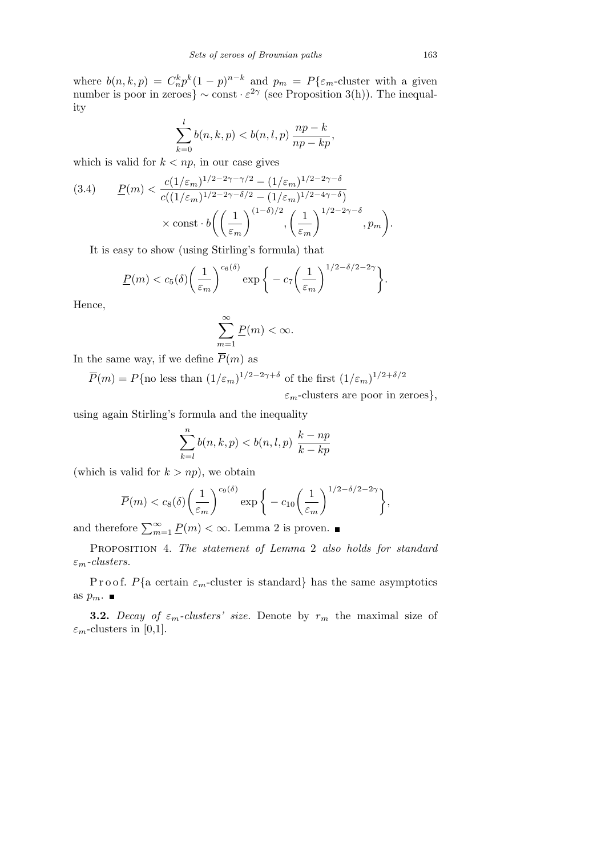where  $b(n, k, p) = C_n^k p^k (1-p)^{n-k}$  and  $p_m = P\{\varepsilon_m$ -cluster with a given number is poor in zeroes}  $\sim$  const  $\cdot \varepsilon^{2\gamma}$  (see Proposition 3(h)). The inequality

$$
\sum_{k=0}^{l}b(n,k,p)
$$

which is valid for  $k < np$ , in our case gives

$$
(3.4) \qquad \underline{P}(m) < \frac{c(1/\varepsilon_m)^{1/2 - 2\gamma - \gamma/2} - (1/\varepsilon_m)^{1/2 - 2\gamma - \delta}}{c((1/\varepsilon_m)^{1/2 - 2\gamma - \delta/2} - (1/\varepsilon_m)^{1/2 - 4\gamma - \delta})} \times \text{const} \cdot b \left( \left( \frac{1}{\varepsilon_m} \right)^{(1 - \delta)/2}, \left( \frac{1}{\varepsilon_m} \right)^{1/2 - 2\gamma - \delta}, p_m \right).
$$

It is easy to show (using Stirling's formula) that

$$
\underline{P}(m) < c_5(\delta) \left(\frac{1}{\varepsilon_m}\right)^{c_6(\delta)} \exp\bigg\{-c_7 \left(\frac{1}{\varepsilon_m}\right)^{1/2-\delta/2-2\gamma}\bigg\}.
$$

Hence,

$$
\sum_{m=1}^{\infty} \underline{P}(m) < \infty.
$$

In the same way, if we define  $\overline{P}(m)$  as

 $\overline{P}(m) = P\{\text{no less than } (1/\varepsilon_m)^{1/2-2\gamma+\delta} \text{ of the first } (1/\varepsilon_m)^{1/2+\delta/2}\}$ 

*εm*-clusters are poor in zeroes*},*

using again Stirling's formula and the inequality

$$
\sum_{k=l}^{n} b(n,k,p) < b(n,l,p) \frac{k-np}{k-kp}
$$

(which is valid for  $k > np$ ), we obtain

$$
\overline{P}(m) < c_8(\delta) \left(\frac{1}{\varepsilon_m}\right)^{c_9(\delta)} \exp\bigg\{-c_{10}\bigg(\frac{1}{\varepsilon_m}\bigg)^{1/2-\delta/2-2\gamma}\bigg\},
$$

and therefore  $\sum_{m=1}^{\infty} \underline{P}(m) < \infty$ . Lemma 2 is proven.

Proposition 4. *The statement of Lemma* 2 *also holds for standard εm-clusters.*

Proof. *P*{ $a$  certain  $\varepsilon_m$ -cluster is standard} has the same asymptotics as  $p_m$ .

**3.2.** *Decay of*  $\varepsilon_m$ *-clusters' size.* Denote by  $r_m$  the maximal size of  $\varepsilon_m$ -clusters in [0,1].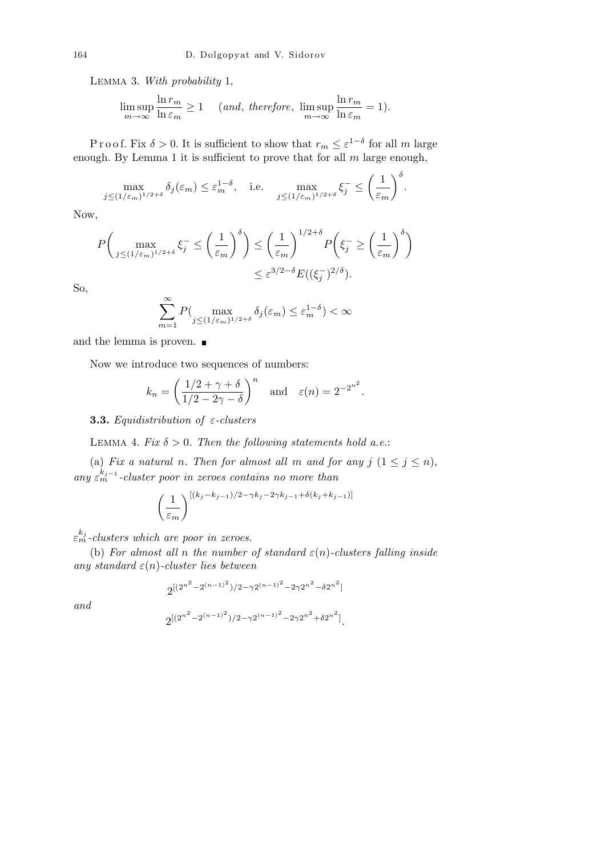Lemma 3. *With probability* 1,

$$
\limsup_{m \to \infty} \frac{\ln r_m}{\ln \varepsilon_m} \ge 1 \quad (and, \ therefore, \ \limsup_{m \to \infty} \frac{\ln r_m}{\ln \varepsilon_m} = 1).
$$

Proof. Fix  $\delta > 0$ . It is sufficient to show that  $r_m \leq \varepsilon^{1-\delta}$  for all *m* large enough. By Lemma 1 it is sufficient to prove that for all *m* large enough,

$$
\max_{j \le (1/\varepsilon_m)^{1/2+\delta}} \delta_j(\varepsilon_m) \le \varepsilon_m^{1-\delta}, \quad \text{i.e.} \quad \max_{j \le (1/\varepsilon_m)^{1/2+\delta}} \xi_j^- \le \left(\frac{1}{\varepsilon_m}\right)^{\delta}.
$$

Now,

$$
P\left(\max_{j\leq (1/\varepsilon_m)^{1/2+\delta}}\xi_j^{-}\leq \left(\frac{1}{\varepsilon_m}\right)^{\delta}\right) \leq \left(\frac{1}{\varepsilon_m}\right)^{1/2+\delta}P\left(\xi_j^{-}\geq \left(\frac{1}{\varepsilon_m}\right)^{\delta}\right)
$$

$$
\leq \varepsilon^{3/2-\delta}E((\xi_j^{-})^{2/\delta}).
$$

So,

$$
\sum_{m=1}^{\infty} P(\max_{j \le (1/\varepsilon_m)^{1/2+\delta}} \delta_j(\varepsilon_m) \le \varepsilon_m^{1-\delta}) < \infty
$$

and the lemma is proven.

Now we introduce two sequences of numbers:

$$
k_n = \left(\frac{1/2 + \gamma + \delta}{1/2 - 2\gamma - \delta}\right)^n \quad \text{and} \quad \varepsilon(n) = 2^{-2^{n^2}}
$$

*.*

**3.3.** *Equidistribution of ε-clusters*

LEMMA 4. *Fix*  $\delta > 0$ . *Then the following statements hold a.e.*:

(a) *Fix a natural n. Then for almost all m and for any*  $j$   $(1 \leq j \leq n)$ , *any ε kj−*<sup>1</sup> *<sup>m</sup> -cluster poor in zeroes contains no more than*

$$
\left(\frac{1}{\varepsilon_m}\right)^{\left[(k_j - k_{j-1})/2 - \gamma k_j - 2\gamma k_{j-1} + \delta(k_j + k_{j-1})\right]}
$$

*ε kj <sup>m</sup> -clusters which are poor in zeroes.*

(b) *For almost all n the number of standard*  $\varepsilon(n)$ *-clusters falling inside any standard ε*(*n*)*-cluster lies between*

$$
2^{[(2^{n^2}-2^{(n-1)^2})/2-\gamma 2^{(n-1)^2}-2\gamma 2^{n^2}-\delta 2^{n^2}]}
$$

*and*

$$
2^{\left[(2^{n^2}-2^{(n-1)^2})/2-\gamma 2^{(n-1)^2}-2\gamma 2^{n^2}+ \delta 2^{n^2}\right]}.
$$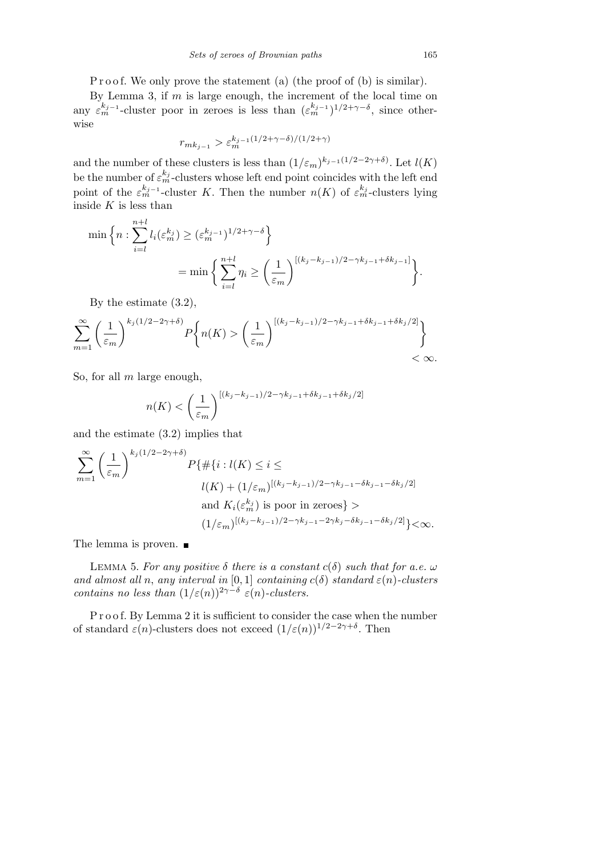P r o o f. We only prove the statement (a) (the proof of (b) is similar).

By Lemma 3, if *m* is large enough, the increment of the local time on any  $\varepsilon_m^{k_j-1}$ -cluster poor in zeroes is less than  $(\varepsilon_m^{k_j-1})^{1/2+\gamma-\delta}$ , since otherwise

$$
r_{mk_{j-1}} > \varepsilon_m^{k_{j-1}(1/2+\gamma-\delta)/(1/2+\gamma)}
$$

and the number of these clusters is less than  $(1/\varepsilon_m)^{k_{j-1}(1/2-2\gamma+\delta)}$ . Let  $l(K)$ be the number of  $\varepsilon_m^{k_j}$ -clusters whose left end point coincides with the left end point of the  $\varepsilon_m^{k_j-1}$ -cluster *K*. Then the number  $n(K)$  of  $\varepsilon_m^{k_j}$ -clusters lying inside *K* is less than

$$
\min\left\{n:\sum_{i=l}^{n+l}l_i(\varepsilon_m^{k_j})\geq (\varepsilon_m^{k_{j-1}})^{1/2+\gamma-\delta}\right\}
$$

$$
=\min\left\{\sum_{i=l}^{n+l}\eta_i\geq \left(\frac{1}{\varepsilon_m}\right)^{[(k_j-k_{j-1})/2-\gamma k_{j-1}+\delta k_{j-1}]}\right\}.
$$

By the estimate (3.2),

$$
\sum_{m=1}^{\infty} \left(\frac{1}{\varepsilon_m}\right)^{k_j(1/2-2\gamma+\delta)} P\left\{n(K) > \left(\frac{1}{\varepsilon_m}\right)^{[(k_j-k_{j-1})/2-\gamma k_{j-1}+\delta k_{j-1}+\delta k_j/2]}\right\}
$$
  
<  $\infty.$ 

So, for all *m* large enough,

$$
n(K) < \left(\frac{1}{\varepsilon_m}\right)^{\left[(k_j - k_{j-1})/2 - \gamma k_{j-1} + \delta k_{j-1} + \delta k_j/2\right]}
$$

and the estimate (3.2) implies that

$$
\sum_{m=1}^{\infty} \left(\frac{1}{\varepsilon_m}\right)^{k_j(1/2-2\gamma+\delta)} P\{\# \{i : l(K) \le i \le
$$
  

$$
l(K) + (1/\varepsilon_m)^{[(k_j - k_{j-1})/2 - \gamma k_{j-1} - \delta k_{j-1} - \delta k_j/2]} \text{ and } K_i(\varepsilon_m^{k_j}) \text{ is poor in zeroes} >
$$
  

$$
(1/\varepsilon_m)^{[(k_j - k_{j-1})/2 - \gamma k_{j-1} - 2\gamma k_j - \delta k_{j-1} - \delta k_j/2]} \} < \infty.
$$

The lemma is proven.  $\blacksquare$ 

LEMMA 5. For any positive  $\delta$  there is a constant  $c(\delta)$  such that for a.e.  $\omega$ *and almost all n*, *any interval in* [0, 1] *containing*  $c(\delta)$  *standard*  $\varepsilon(n)$ *-clusters contains no less than*  $(1/\varepsilon(n))^{2\gamma-\delta} \varepsilon(n)$ *-clusters.* 

P r o o f. By Lemma 2 it is sufficient to consider the case when the number of standard  $\varepsilon(n)$ -clusters does not exceed  $(1/\varepsilon(n))^{1/2-2\gamma+\delta}$ . Then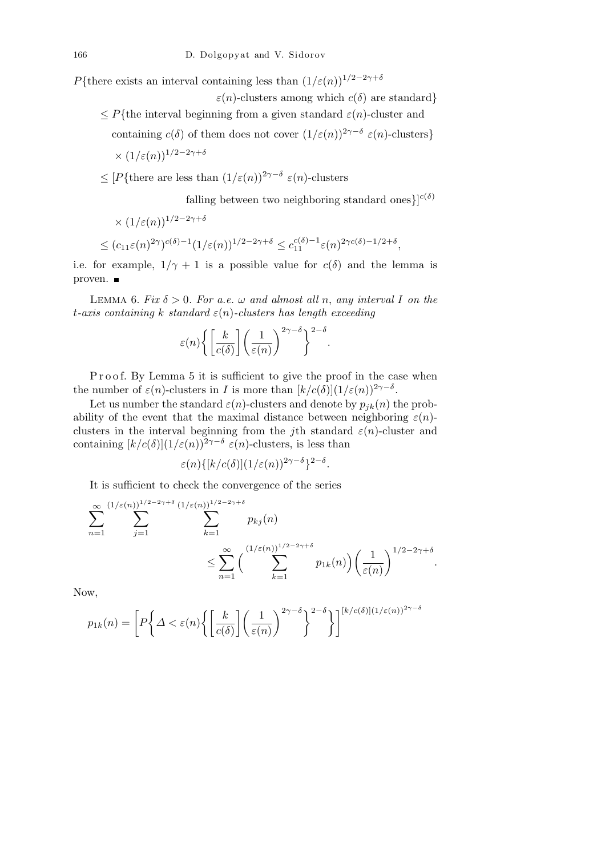*P*<sup>{there exists an interval containing less than  $(1/\varepsilon(n))^{1/2-2\gamma+\delta}$ </sup>

 $\varepsilon(n)$ -clusters among which  $c(\delta)$  are standard*}* 

 $\leq P$ <sup>{</sup>the interval beginning from a given standard  $\varepsilon$ (*n*)-cluster and

containing  $c(\delta)$  of them does not cover  $(1/\varepsilon(n))^{2\gamma-\delta} \varepsilon(n)$ -clusters}

$$
\times (1/\varepsilon(n))^{1/2-2\gamma+\delta}
$$

*≤* [*P{*there are less than (1*/ε*(*n*))<sup>2</sup>*γ−<sup>δ</sup> ε*(*n*)-clusters

falling between two neighboring standard ones $c^{(0)}$ 

$$
\times (1/\varepsilon(n))^{1/2 - 2\gamma + \delta}
$$
  
\n
$$
\leq (c_{11}\varepsilon(n)^{2\gamma})^{c(\delta) - 1} (1/\varepsilon(n))^{1/2 - 2\gamma + \delta} \leq c_{11}^{c(\delta) - 1} \varepsilon(n)^{2\gamma c(\delta) - 1/2 + \delta},
$$

i.e. for example,  $1/\gamma + 1$  is a possible value for  $c(\delta)$  and the lemma is proven.

LEMMA 6. *Fix*  $\delta > 0$ . For a.e.  $\omega$  and almost all *n*, any interval *I* on the *t-axis containing k standard ε*(*n*)*-clusters has length exceeding*

$$
\varepsilon(n) \bigg\{ \bigg[ \frac{k}{c(\delta)} \bigg] \bigg( \frac{1}{\varepsilon(n)} \bigg)^{2\gamma - \delta} \bigg\}^{2 - \delta}.
$$

P r o o f. By Lemma 5 it is sufficient to give the proof in the case when the number of  $\varepsilon(n)$ -clusters in *I* is more than  $\frac{k}{c(\delta)}(1/\varepsilon(n))^{2\gamma-\delta}$ .

Let us number the standard  $\varepsilon(n)$ -clusters and denote by  $p_{jk}(n)$  the probability of the event that the maximal distance between neighboring  $\varepsilon(n)$ clusters in the interval beginning from the *j*th standard  $\varepsilon(n)$ -cluster and containing  $[k/c(\delta)](1/\varepsilon(n))^{2\gamma-\delta} \varepsilon(n)$ -clusters, is less than

$$
\varepsilon(n)\{[k/c(\delta)](1/\varepsilon(n))^{2\gamma-\delta}\}^{2-\delta}.
$$

It is sufficient to check the convergence of the series

$$
\sum_{n=1}^{\infty} \sum_{j=1}^{(1/\varepsilon(n))^{1/2-2\gamma+\delta}} \sum_{k=1}^{(1/\varepsilon(n))^{1/2-2\gamma+\delta}} p_{kj}(n)
$$
  

$$
\leq \sum_{n=1}^{\infty} {\sum_{k=1}^{(1/\varepsilon(n))^{1/2-2\gamma+\delta}} p_{1k}(n) {\sum_{k=1}^{(1/\varepsilon(n))^{1/2-2\gamma+\delta}} p_{2k}(n) {\sum_{k=1}^{(1/2-2\gamma+\delta)}}}.
$$

Now,

$$
p_{1k}(n) = \left[ P \left\{ \Delta < \varepsilon(n) \left\{ \left[ \frac{k}{c(\delta)} \right] \left( \frac{1}{\varepsilon(n)} \right)^{2\gamma - \delta} \right\}^{2 - \delta} \right\} \right]^{[k/c(\delta)] (1/\varepsilon(n))^{2\gamma - \delta}}
$$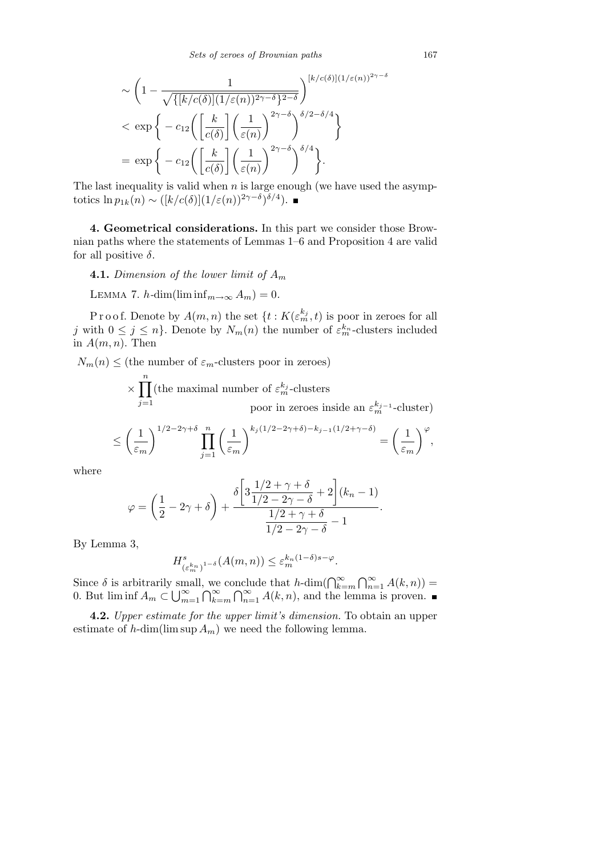$$
\sim \left(1 - \frac{1}{\sqrt{\{[k/c(\delta)](1/\varepsilon(n))^{2\gamma-\delta}\}}}\right)^{[k/c(\delta)](1/\varepsilon(n))^{2\gamma-\delta}}
$$
  

$$
< \exp\left\{-c_{12}\left(\left[\frac{k}{c(\delta)}\right]\left(\frac{1}{\varepsilon(n)}\right)^{2\gamma-\delta}\right)^{\delta/2-\delta/4}\right\}
$$
  

$$
= \exp\left\{-c_{12}\left(\left[\frac{k}{c(\delta)}\right]\left(\frac{1}{\varepsilon(n)}\right)^{2\gamma-\delta}\right)^{\delta/4}\right\}.
$$

The last inequality is valid when *n* is large enough (we have used the asymptotics  $\ln p_{1k}(n) \sim ([k/c(\delta)](1/\varepsilon(n))^{2\gamma-\delta})^{\delta/4}$ .

**4. Geometrical considerations.** In this part we consider those Brownian paths where the statements of Lemmas 1–6 and Proposition 4 are valid for all positive *δ*.

**4.1.** *Dimension of the lower limit of A<sup>m</sup>*

LEMMA 7.  $h$ *-dim*(lim inf $_{m\rightarrow\infty}$   $A_m$ ) = 0.

P r o o f. Denote by  $A(m, n)$  the set  $\{t : K(\varepsilon_m^{k_j}, t)$  is poor in zeroes for all *j* with  $0 \leq j \leq n$ . Denote by  $N_m(n)$  the number of  $\varepsilon_m^{k_n}$ -clusters included in  $A(m, n)$ . Then

 $N_m(n) \leq$  (the number of  $\varepsilon_m$ -clusters poor in zeroes)

*×*  $\frac{n}{\sqrt{2}}$ *j*=1 (the maximal number of  $\varepsilon_m^{k_j}$ -clusters poor in zeroes inside an  $\varepsilon_m^{k_j-1}$ -cluster)  $\overline{\phantom{a}}$ 1*/*2*−*2*γ*+*<sup>δ</sup>*  $\overline{a}$ *<sup>k</sup><sup>j</sup>* (1*/*2*−*2*γ*+*δ*)*−kj−*1(1*/*2+*γ−δ*)  $\overline{a}$ *<sup>ϕ</sup>*

$$
\leq \left(\frac{1}{\varepsilon_m}\right)^{1/2-2\gamma+\delta} \prod_{j=1}^n \left(\frac{1}{\varepsilon_m}\right)^{k_j(1/2-2\gamma+\delta)-k_{j-1}(1/2+\gamma-\delta)} = \left(\frac{1}{\varepsilon_m}\right)^{\varphi},
$$

where

$$
\varphi = \left(\frac{1}{2} - 2\gamma + \delta\right) + \frac{\delta\left[3\frac{1/2 + \gamma + \delta}{1/2 - 2\gamma - \delta} + 2\right](k_n - 1)}{\frac{1/2 + \gamma + \delta}{1/2 - 2\gamma - \delta} - 1}.
$$

By Lemma 3,

$$
H^s_{(\varepsilon_m^{k_n})^{1-\delta}}(A(m,n)) \leq \varepsilon_m^{k_n(1-\delta)s-\varphi}.
$$

Since  $\delta$  is arbitrarily small, we conclude that  $h$ -dim( $\bigcap_{k=m}^{\infty}$ T*<sup>∞</sup>*  $\sum_{n=1}^{\infty} A(k, n) =$  $0.$  But lim inf  $A_m \subset \bigcup_{m=1}^{\infty}$ *m*=1 , we<br>∩∞ *k*=*m* ונטווי<br>∕∩  $\sum_{n=1}^{\infty} A(k, n)$ , and the lemma is proven.

**4.2.** *Upper estimate for the upper limit's dimension.* To obtain an upper estimate of  $h$ -dim(lim sup  $A_m$ ) we need the following lemma.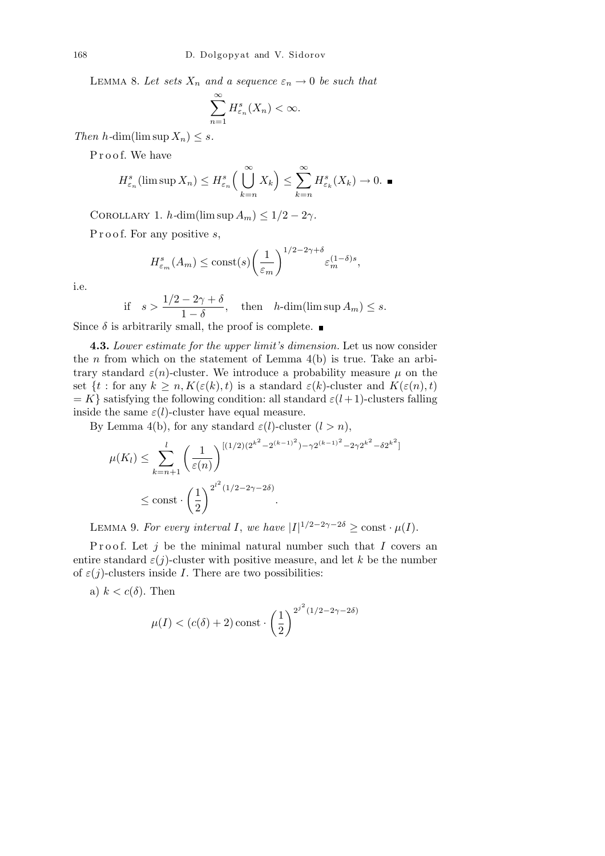LEMMA 8. Let sets  $X_n$  and a sequence  $\varepsilon_n \to 0$  be such that

$$
\sum_{n=1}^{\infty} H_{\varepsilon_n}^s(X_n) < \infty.
$$

*Then*  $h$ *-dim(lim sup*  $X_n$ *)*  $\leq$  *<i>s.* 

Proof. We have

$$
H_{\varepsilon_n}^s(\limsup X_n) \leq H_{\varepsilon_n}^s\Big(\bigcup_{k=n}^{\infty} X_k\Big) \leq \sum_{k=n}^{\infty} H_{\varepsilon_k}^s(X_k) \to 0. \quad \blacksquare
$$

COROLLARY 1.  $h$ *-dim*(lim sup  $A_m$ )  $\leq 1/2 - 2\gamma$ *.* 

P r o o f. For any positive *s*,

$$
H_{\varepsilon_m}^s(A_m) \le \text{const}(s) \left(\frac{1}{\varepsilon_m}\right)^{1/2 - 2\gamma + \delta} \varepsilon_m^{(1-\delta)s},
$$

i.e.

if 
$$
s > \frac{1/2 - 2\gamma + \delta}{1 - \delta}
$$
, then  $h$ -dim(lim sup  $A_m$ )  $\leq s$ .

Since  $\delta$  is arbitrarily small, the proof is complete.

**4.3.** *Lower estimate for the upper limit's dimension.* Let us now consider the *n* from which on the statement of Lemma  $4(b)$  is true. Take an arbitrary standard  $\varepsilon(n)$ -cluster. We introduce a probability measure  $\mu$  on the set {*t* : for any  $k \geq n, K(\varepsilon(k), t)$  is a standard  $\varepsilon(k)$ -cluster and  $K(\varepsilon(n), t)$  $= K$ <sup>}</sup> satisfying the following condition: all standard  $\varepsilon$ (*l*+1)-clusters falling inside the same  $\varepsilon$ (*l*)-cluster have equal measure.

By Lemma 4(b), for any standard  $\varepsilon$ (*l*)-cluster (*l* > *n*),

$$
\mu(K_l) \leq \sum_{k=n+1}^l \left(\frac{1}{\varepsilon(n)}\right)^{[(1/2)(2^{k^2} - 2^{(k-1)^2}) - \gamma 2^{(k-1)^2} - 2\gamma 2^{k^2} - \delta 2^{k^2}]} \leq \text{const} \cdot \left(\frac{1}{2}\right)^{2^{l^2}(1/2 - 2\gamma - 2\delta)}.
$$

LEMMA 9. For every interval *I*, we have  $|I|^{1/2-2\gamma-2\delta} \ge \text{const} \cdot \mu(I)$ .

Proof. Let *j* be the minimal natural number such that *I* covers an entire standard  $\varepsilon(j)$ -cluster with positive measure, and let k be the number of  $\varepsilon(j)$ -clusters inside *I*. There are two possibilities:

a)  $k < c(\delta)$ . Then

$$
\mu(I) < (c(\delta)+2)\operatorname{const} \cdot \left(\frac{1}{2}\right)^{2^{j^2}(1/2-2\gamma-2\delta)}
$$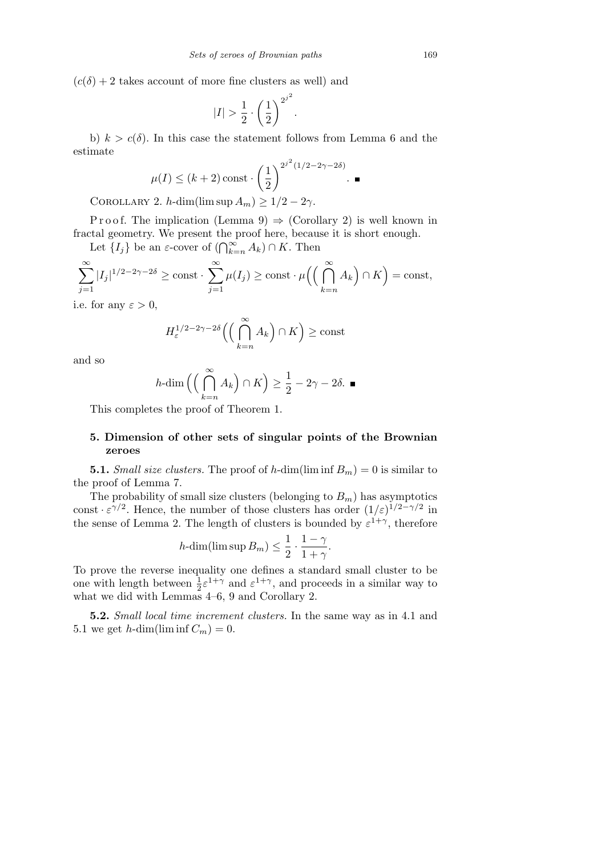$(c(\delta) + 2$  takes account of more fine clusters as well) and

$$
|I| > \frac{1}{2} \cdot \left(\frac{1}{2}\right)^{2^{j^2}}.
$$

b)  $k > c(\delta)$ . In this case the statement follows from Lemma 6 and the estimate

$$
\mu(I) \le (k+2)\operatorname{const} \cdot \left(\frac{1}{2}\right)^{2^{j^2}(1/2 - 2\gamma - 2\delta)}.
$$

COROLLARY 2. *h*-dim(lim sup  $A_m$ )  $\geq 1/2 - 2\gamma$ .

P r o o f. The implication (Lemma 9)  $\Rightarrow$  (Corollary 2) is well known in fractal geometry. We present the proof here, because it is short enough.

Let  ${I_j}$  be an *ε*-cover of  $(\bigcap_{k=n}^{\infty} A_k) \cap K$ . Then

$$
\sum_{j=1}^{\infty} |I_j|^{1/2 - 2\gamma - 2\delta} \ge \text{const} \cdot \sum_{j=1}^{\infty} \mu(I_j) \ge \text{const} \cdot \mu\Big(\Big(\bigcap_{k=n}^{\infty} A_k\Big) \cap K\Big) = \text{const},
$$

i.e. for any  $\varepsilon > 0$ ,

$$
H_{\varepsilon}^{1/2-2\gamma-2\delta}\left(\left(\bigcap_{k=n}^{\infty} A_k\right) \cap K\right) \geq \text{const}
$$

and so

$$
h\text{-dim}\left(\left(\bigcap_{k=n}^{\infty} A_k\right) \cap K\right) \ge \frac{1}{2} - 2\gamma - 2\delta. \blacksquare
$$

This completes the proof of Theorem 1.

## **5. Dimension of other sets of singular points of the Brownian zeroes**

**5.1.** *Small size clusters.* The proof of *h*-dim(lim inf  $B_m$ ) = 0 is similar to the proof of Lemma 7.

The probability of small size clusters (belonging to  $B_m$ ) has asymptotics const  $\cdot \varepsilon^{\gamma/2}$ . Hence, the number of those clusters has order  $(1/\varepsilon)^{1/2-\gamma/2}$  in the sense of Lemma 2. The length of clusters is bounded by  $\varepsilon^{1+\gamma}$ , therefore

$$
h\text{-dim}(\limsup B_m) \le \frac{1}{2} \cdot \frac{1-\gamma}{1+\gamma}.
$$

To prove the reverse inequality one defines a standard small cluster to be one with length between  $\frac{1}{2} \varepsilon^{1+\gamma}$  and  $\varepsilon^{1+\gamma}$ , and proceeds in a similar way to what we did with Lemmas 4–6, 9 and Corollary 2.

**5.2.** *Small local time increment clusters.* In the same way as in 4.1 and 5.1 we get *h*-dim(lim inf  $C_m$ ) = 0.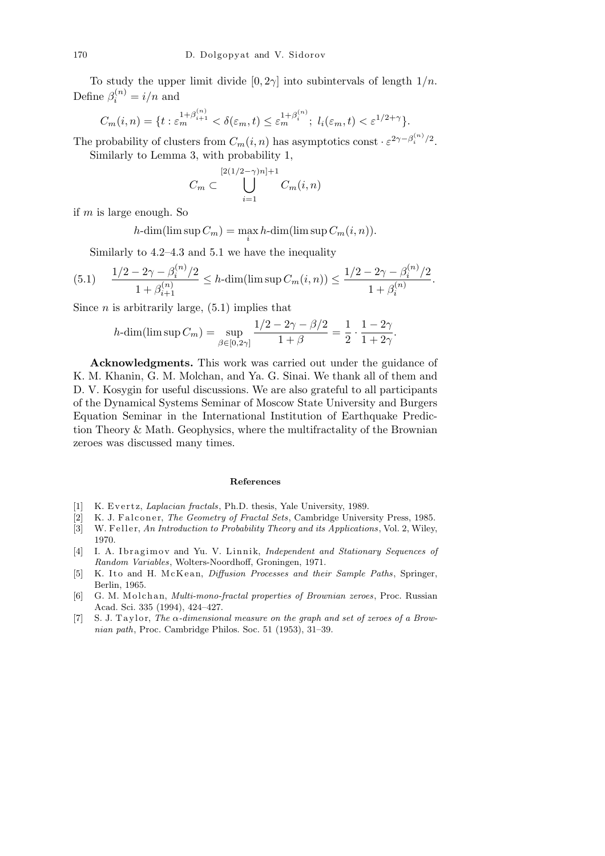To study the upper limit divide  $[0, 2\gamma]$  into subintervals of length  $1/n$ . Define  $\beta_i^{(n)} = i/n$  and

$$
C_m(i,n) = \{t : \varepsilon_m^{1+\beta_{i+1}^{(n)}} < \delta(\varepsilon_m,t) \le \varepsilon_m^{1+\beta_i^{(n)}}; \ l_i(\varepsilon_m,t) < \varepsilon^{1/2+\gamma}\}.
$$

The probability of clusters from  $C_m(i, n)$  has asymptotics const  $\cdot \varepsilon^{2\gamma - \beta_i^{(n)}/2}$ . Similarly to Lemma 3, with probability 1,

$$
C_m \subset \bigcup_{i=1}^{[2(1/2-\gamma)n]+1} C_m(i,n)
$$

if *m* is large enough. So

 $h$ -dim(lim sup  $C_m$ ) =  $\max_i h$ -dim(lim sup  $C_m(i, n)$ )*.* 

Similarly to 4.2–4.3 and 5.1 we have the inequality

$$
(5.1) \quad \frac{1/2 - 2\gamma - \beta_i^{(n)}/2}{1 + \beta_{i+1}^{(n)}} \le h \cdot \dim(\limsup C_m(i, n)) \le \frac{1/2 - 2\gamma - \beta_i^{(n)}/2}{1 + \beta_i^{(n)}}.
$$

Since  $n$  is arbitrarily large,  $(5.1)$  implies that

$$
h\text{-dim}(\limsup C_m) = \sup_{\beta \in [0,2\gamma]} \frac{1/2 - 2\gamma - \beta/2}{1+\beta} = \frac{1}{2} \cdot \frac{1-2\gamma}{1+2\gamma}.
$$

**Acknowledgments.** This work was carried out under the guidance of K. M. Khanin, G. M. Molchan, and Ya. G. Sinai. We thank all of them and D. V. Kosygin for useful discussions. We are also grateful to all participants of the Dynamical Systems Seminar of Moscow State University and Burgers Equation Seminar in the International Institution of Earthquake Prediction Theory & Math. Geophysics, where the multifractality of the Brownian zeroes was discussed many times.

#### **References**

- [1] K. Evertz, *Laplacian fractals*, Ph.D. thesis, Yale University, 1989.
- [2] K. J. Falconer, *The Geometry of Fractal Sets*, Cambridge University Press, 1985.
- [3] W. Feller, *An Introduction to Probability Theory and its Applications*, Vol. 2, Wiley, 1970.
- [4] I. A. Ibragimov and Yu. V. Linnik, *Independent and Stationary Sequences of Random Variables*, Wolters-Noordhoff, Groningen, 1971.
- [5] K. Ito and H. McKean, *Diffusion Processes and their Sample Paths*, Springer, Berlin, 1965.
- [6] G. M. Molchan, *Multi-mono-fractal properties of Brownian zeroes*, Proc. Russian Acad. Sci. 335 (1994), 424–427.
- [7] S. J. Taylor, *The*  $\alpha$ -dimensional measure on the graph and set of zeroes of a Brow*nian path*, Proc. Cambridge Philos. Soc. 51 (1953), 31–39.